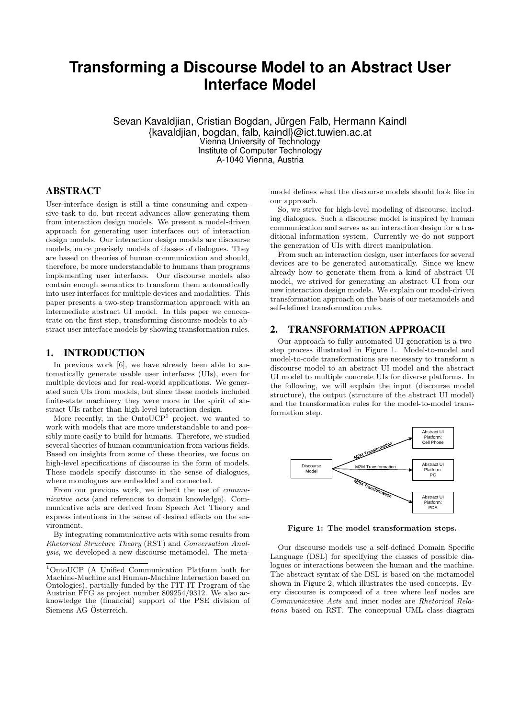# **Transforming a Discourse Model to an Abstract User Interface Model**

Sevan Kavaldjian, Cristian Bogdan, Jürgen Falb, Hermann Kaindl {kavaldjian, bogdan, falb, kaindl}@ict.tuwien.ac.at Vienna University of Technology Institute of Computer Technology A-1040 Vienna, Austria

# ABSTRACT

User-interface design is still a time consuming and expensive task to do, but recent advances allow generating them from interaction design models. We present a model-driven approach for generating user interfaces out of interaction design models. Our interaction design models are discourse models, more precisely models of classes of dialogues. They are based on theories of human communication and should, therefore, be more understandable to humans than programs implementing user interfaces. Our discourse models also contain enough semantics to transform them automatically into user interfaces for multiple devices and modalities. This paper presents a two-step transformation approach with an intermediate abstract UI model. In this paper we concentrate on the first step, transforming discourse models to abstract user interface models by showing transformation rules.

# 1. INTRODUCTION

In previous work [6], we have already been able to automatically generate usable user interfaces (UIs), even for multiple devices and for real-world applications. We generated such UIs from models, but since these models included finite-state machinery they were more in the spirit of abstract UIs rather than high-level interaction design.

More recently, in the  $OntoUCP<sup>1</sup>$  project, we wanted to work with models that are more understandable to and possibly more easily to build for humans. Therefore, we studied several theories of human communication from various fields. Based on insights from some of these theories, we focus on high-level specifications of discourse in the form of models. These models specify discourse in the sense of dialogues, where monologues are embedded and connected.

From our previous work, we inherit the use of communicative acts (and references to domain knowledge). Communicative acts are derived from Speech Act Theory and express intentions in the sense of desired effects on the environment.

By integrating communicative acts with some results from Rhetorical Structure Theory (RST) and Conversation Analysis, we developed a new discourse metamodel. The metamodel defines what the discourse models should look like in our approach.

So, we strive for high-level modeling of discourse, including dialogues. Such a discourse model is inspired by human communication and serves as an interaction design for a traditional information system. Currently we do not support the generation of UIs with direct manipulation.

From such an interaction design, user interfaces for several devices are to be generated automatically. Since we knew already how to generate them from a kind of abstract UI model, we strived for generating an abstract UI from our new interaction design models. We explain our model-driven transformation approach on the basis of our metamodels and self-defined transformation rules.

#### 2. TRANSFORMATION APPROACH

Our approach to fully automated UI generation is a twostep process illustrated in Figure 1. Model-to-model and model-to-code transformations are necessary to transform a discourse model to an abstract UI model and the abstract UI model to multiple concrete UIs for diverse platforms. In the following, we will explain the input (discourse model structure), the output (structure of the abstract UI model) and the transformation rules for the model-to-model transformation step.



Figure 1: The model transformation steps.

Our discourse models use a self-defined Domain Specific Language (DSL) for specifying the classes of possible dialogues or interactions between the human and the machine. The abstract syntax of the DSL is based on the metamodel shown in Figure 2, which illustrates the used concepts. Every discourse is composed of a tree where leaf nodes are Communicative Acts and inner nodes are Rhetorical Relations based on RST. The conceptual UML class diagram

<sup>1</sup>OntoUCP (A Unified Communication Platform both for Machine-Machine and Human-Machine Interaction based on Ontologies), partially funded by the FIT-IT Program of the Austrian FFG as project number 809254/9312. We also acknowledge the (financial) support of the PSE division of Siemens AG Österreich.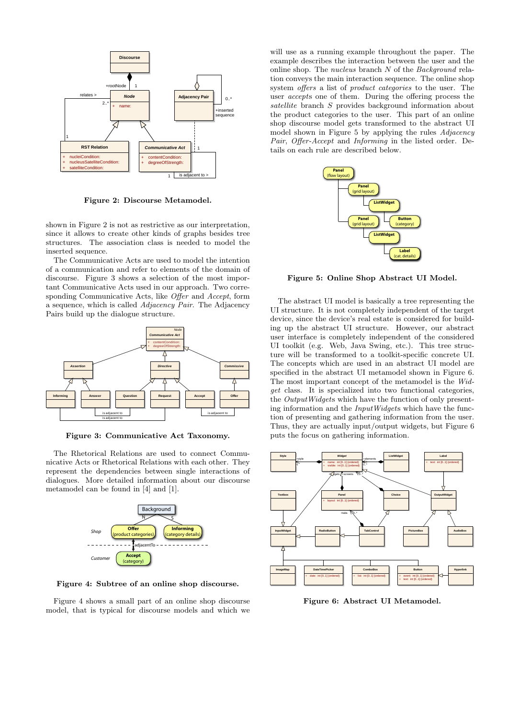

Figure 2: Discourse Metamodel.

shown in Figure 2 is not as restrictive as our interpretation, since it allows to create other kinds of graphs besides tree structures. The association class is needed to model the inserted sequence.

The Communicative Acts are used to model the intention of a communication and refer to elements of the domain of discourse. Figure 3 shows a selection of the most important Communicative Acts used in our approach. Two corresponding Communicative Acts, like Offer and Accept, form a sequence, which is called Adjacency Pair. The Adjacency Pairs build up the dialogue structure.



Figure 3: Communicative Act Taxonomy.

The Rhetorical Relations are used to connect Communicative Acts or Rhetorical Relations with each other. They represent the dependencies between single interactions of dialogues. More detailed information about our discourse metamodel can be found in [4] and [1].



Figure 4: Subtree of an online shop discourse.

Figure 4 shows a small part of an online shop discourse model, that is typical for discourse models and which we

will use as a running example throughout the paper. The example describes the interaction between the user and the online shop. The nucleus branch N of the Background relation conveys the main interaction sequence. The online shop system offers a list of product categories to the user. The user accepts one of them. During the offering process the satellite branch S provides background information about the product categories to the user. This part of an online shop discourse model gets transformed to the abstract UI model shown in Figure 5 by applying the rules Adjacency Pair, Offer-Accept and Informing in the listed order. Details on each rule are described below.



Figure 5: Online Shop Abstract UI Model.

The abstract UI model is basically a tree representing the UI structure. It is not completely independent of the target device, since the device's real estate is considered for building up the abstract UI structure. However, our abstract user interface is completely independent of the considered UI toolkit (e.g. Web, Java Swing, etc.). This tree structure will be transformed to a toolkit-specific concrete UI. The concepts which are used in an abstract UI model are specified in the abstract UI metamodel shown in Figure 6. The most important concept of the metamodel is the Widget class. It is specialized into two functional categories, the OutputWidgets which have the function of only presenting information and the InputWidgets which have the function of presenting and gathering information from the user. Thus, they are actually input/output widgets, but Figure 6 puts the focus on gathering information.



Figure 6: Abstract UI Metamodel.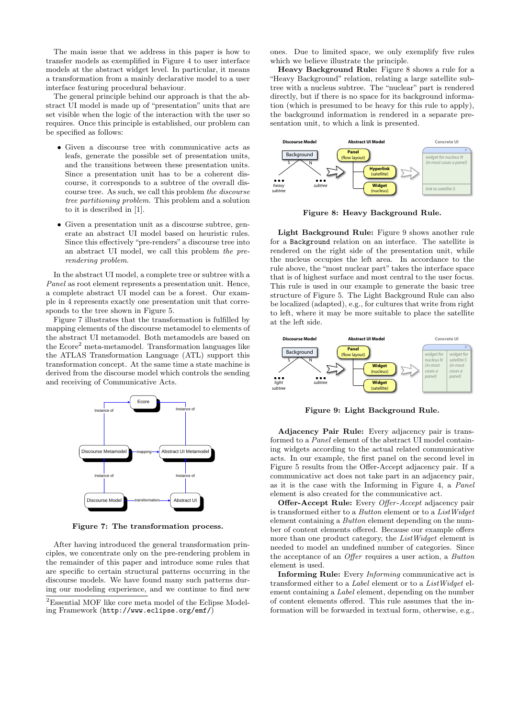The main issue that we address in this paper is how to transfer models as exemplified in Figure 4 to user interface models at the abstract widget level. In particular, it means a transformation from a mainly declarative model to a user interface featuring procedural behaviour.

The general principle behind our approach is that the abstract UI model is made up of "presentation" units that are set visible when the logic of the interaction with the user so requires. Once this principle is established, our problem can be specified as follows:

- Given a discourse tree with communicative acts as leafs, generate the possible set of presentation units, and the transitions between these presentation units. Since a presentation unit has to be a coherent discourse, it corresponds to a subtree of the overall discourse tree. As such, we call this problem the discourse tree partitioning problem. This problem and a solution to it is described in [1].
- Given a presentation unit as a discourse subtree, generate an abstract UI model based on heuristic rules. Since this effectively "pre-renders" a discourse tree into an abstract UI model, we call this problem the prerendering problem.

In the abstract UI model, a complete tree or subtree with a Panel as root element represents a presentation unit. Hence, a complete abstract UI model can be a forest. Our example in 4 represents exactly one presentation unit that corresponds to the tree shown in Figure 5.

Figure 7 illustrates that the transformation is fulfilled by mapping elements of the discourse metamodel to elements of the abstract UI metamodel. Both metamodels are based on the Ecore<sup>2</sup> meta-metamodel. Transformation languages like the ATLAS Transformation Language (ATL) support this transformation concept. At the same time a state machine is derived from the discourse model which controls the sending and receiving of Communicative Acts.



Figure 7: The transformation process.

After having introduced the general transformation principles, we concentrate only on the pre-rendering problem in the remainder of this paper and introduce some rules that are specific to certain structural patterns occurring in the discourse models. We have found many such patterns during our modeling experience, and we continue to find new ones. Due to limited space, we only exemplify five rules which we believe illustrate the principle.

Heavy Background Rule: Figure 8 shows a rule for a "Heavy Background" relation, relating a large satellite subtree with a nucleus subtree. The "nuclear" part is rendered directly, but if there is no space for its background information (which is presumed to be heavy for this rule to apply), the background information is rendered in a separate presentation unit, to which a link is presented.



Figure 8: Heavy Background Rule.

Light Background Rule: Figure 9 shows another rule for a Background relation on an interface. The satellite is rendered on the right side of the presentation unit, while the nucleus occupies the left area. In accordance to the rule above, the "most nuclear part" takes the interface space that is of highest surface and most central to the user focus. This rule is used in our example to generate the basic tree structure of Figure 5. The Light Background Rule can also be localized (adapted), e.g., for cultures that write from right to left, where it may be more suitable to place the satellite at the left side.



Figure 9: Light Background Rule.

Adjacency Pair Rule: Every adjacency pair is transformed to a Panel element of the abstract UI model containing widgets according to the actual related communicative acts. In our example, the first panel on the second level in Figure 5 results from the Offer-Accept adjacency pair. If a communicative act does not take part in an adjacency pair, as it is the case with the Informing in Figure 4, a Panel element is also created for the communicative act.

**Offer-Accept Rule:** Every *Offer-Accept* adjacency pair is transformed either to a Button element or to a ListWidget element containing a Button element depending on the number of content elements offered. Because our example offers more than one product category, the ListWidget element is needed to model an undefined number of categories. Since the acceptance of an Offer requires a user action, a Button element is used.

Informing Rule: Every Informing communicative act is transformed either to a Label element or to a ListWidget element containing a Label element, depending on the number of content elements offered. This rule assumes that the information will be forwarded in textual form, otherwise, e.g.,

<sup>2</sup>Essential MOF like core meta model of the Eclipse Modeling Framework (http://www.eclipse.org/emf/)